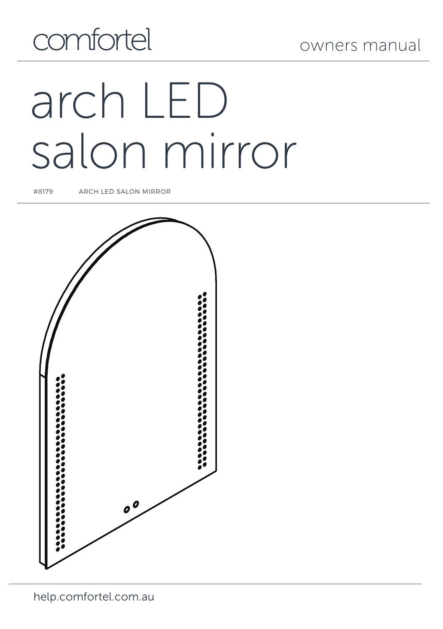# comfortel

# arch LED salon mirror

#8179 ARCH LED SALON MIRROR

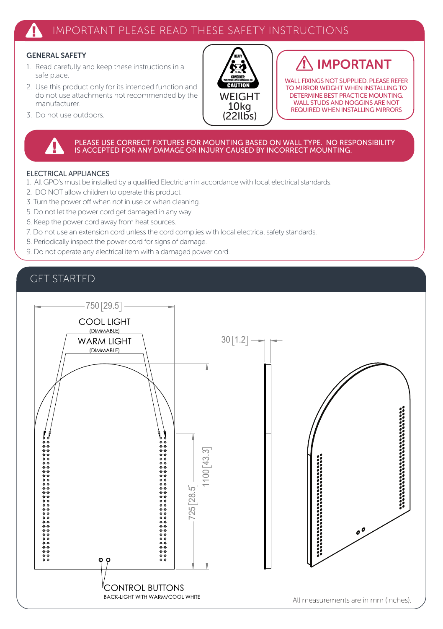#### IMPORTANT PLEASE READ THESE SAFETY INSTRUCTIONS

#### GENERAL SAFETY

- 1. Read carefully and keep these instructions in a safe place.
- 2. Use this product only for its intended function and do not use attachments not recommended by the manufacturer.
- 3. Do not use outdoors.



## IMPORTANT

WALL FIXINGS NOT SUPPLIED. PLEASE REFER TO MIRROR WEIGHT WHEN INSTALLING TO DETERMINE BEST PRACTICE MOUNTING. WALL STUDS AND NOGGINS ARE NOT REQUIRED WHEN INSTALLING MIRRORS

PLEASE USE CORRECT FIXTURES FOR MOUNTING BASED ON WALL TYPE. NO RESPONSIBILITY IS ACCEPTED FOR ANY DAMAGE OR INJURY CAUSED BY INCORRECT MOUNTING.

#### ELECTRICAL APPLIANCES

- 1. All GPO's must be installed by a qualified Electrician in accordance with local electrical standards.
- 2. DO NOT allow children to operate this product.
- 3. Turn the power off when not in use or when cleaning.
- 5. Do not let the power cord get damaged in any way.
- 6. Keep the power cord away from heat sources.
- 7. Do not use an extension cord unless the cord complies with local electrical safety standards.
- 8. Periodically inspect the power cord for signs of damage.
- 1. 9. Do not operate any electrical item with a damaged power cord.

### GET STARTED

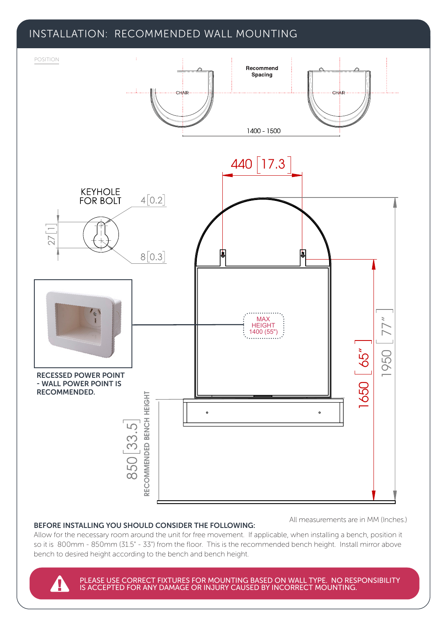#### INSTALLATION: RECOMMENDED WALL MOUNTING



#### BEFORE INSTALLING YOU SHOULD CONSIDER THE FOLLOWING:

All measurements are in MM (Inches.)

so it is 800mm - 850mm (31.5" - 33") from the floor. This is the recommended bench height. Install mirror above<br>bench to desired height according to the bench and bench height. Allow for the necessary room around the unit for free movement. If applicable, when installing a bench, position it bench to desired height according to the bench and bench height.

> ALL DIMENSIONS GIVEN IN mm [IN] PLEASE USE CORRECT FIXTURES FOR MOUNTING BASED ON WALL TYPE. NO RESPONSIBILITY IS ACCEPTED FOR ANY DAMAGE OR INJURY CAUSED BY INCORRECT MOUNTING.  $\frac{1}{\sqrt{2}}$